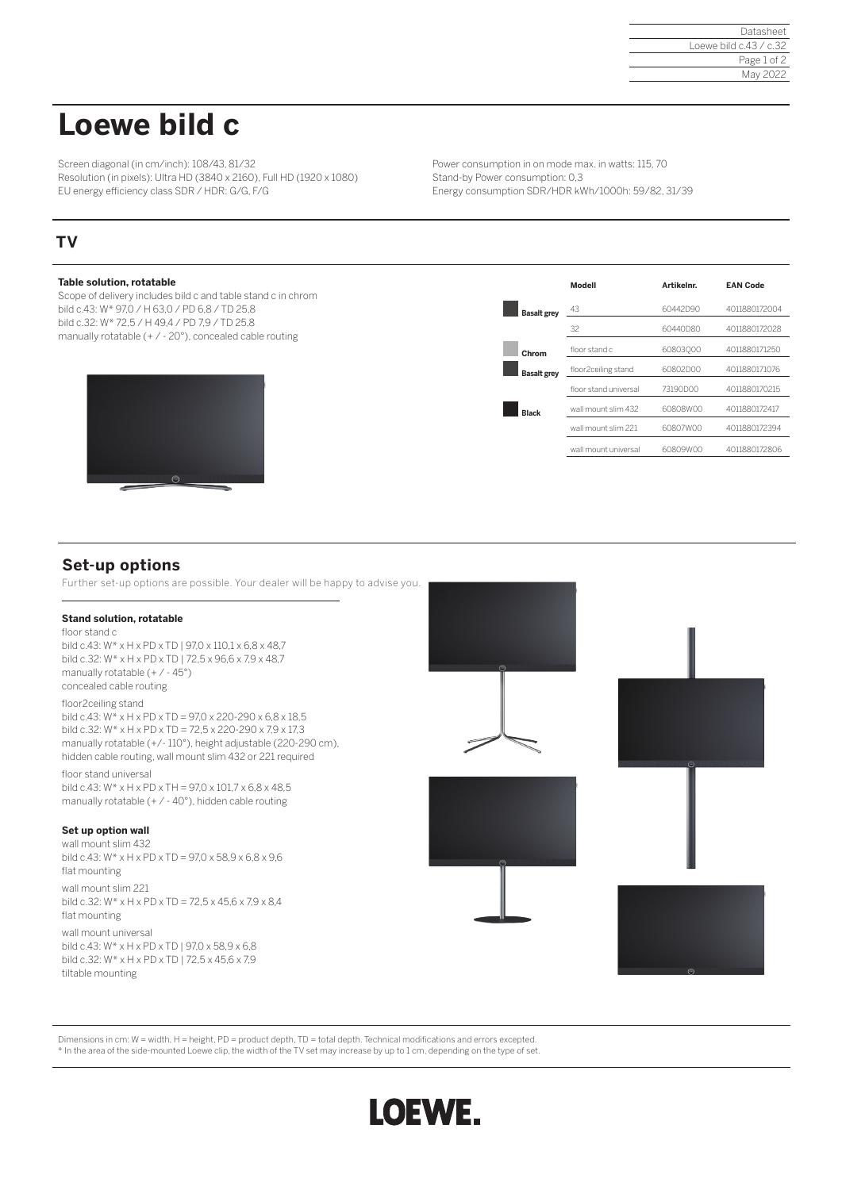#### Datasheet Loewe bild c.43 / c.32 Page 1 of 2 May 2022

# **Loewe bild c**

Screen diagonal (in cm/inch): 108/43, 81/32 Resolution (in pixels): Ultra HD (3840 x 2160), Full HD (1920 x 1080) EU energy efficiency class SDR / HDR: G/G, F/G

Power consumption in on mode max. in watts: 115, 70 Stand-by Power consumption: 0,3 Energy consumption SDR/HDR kWh/1000h: 59/82, 31/39

## **TV**

### **Table solution, rotatable** Scope of delivery includes bild c and table stand c in chrom bild c.43: W\* 97,0 / H 63,0 / PD 6,8 / TD 25,8 bild c.32: W\* 72,5 / H 49,4 / PD 7,9 / TD 25,8 manually rotatable (+ / - 20°), concealed cable routing **Modell Artikelnr. EAN Code Basalt grey**  $\frac{43}{2}$  60442D90 4011880172004 32 60440D80 4011880172028  **Chrom** floor stand c 60803Q00 4011880171250  **Basalt grey** floor2ceiling stand 60802D00 <sup>4011880171076</sup> floor stand universal 73190D00 4011880170215  **Black** wall mount slim 432 60808W00 <sup>4011880172417</sup> wall mount slim 221 60807W00 4011880172394 wall mount universal 60809W00 4011880172806

## **Set-up options**

Further set-up options are possible. Your dealer will be happy to advise you.

#### **Stand solution, rotatable**

floor stand c bild c.43: W\* x H x PD x TD | 97,0 x 110,1 x 6,8 x 48,7 bild c.32: W\* x H x PD x TD | 72,5 x 96,6 x 7,9 x 48,7 manually rotatable (+ / - 45°) concealed cable routing floor2ceiling stand bild c.43: W\* x H x PD x TD = 97,0 x 220-290 x 6,8 x 18,5 bild c.32: W\* x H x PD x TD = 72,5 x 220-290 x 7,9 x 17,3 manually rotatable (+/- 110°), height adjustable (220-290 cm), hidden cable routing, wall mount slim 432 or 221 required floor stand universal

bild c.43: W\* x H x PD x TH = 97,0 x 101,7 x 6,8 x 48,5 manually rotatable  $(+ / -40^{\circ})$ , hidden cable routing

#### **Set up option wall**

wall mount slim 432 bild c.43:  $W^*$  x H x PD x TD = 97,0 x 58,9 x 6,8 x 9,6 flat mounting

wall mount slim 221 bild c.32: W\* x H x PD x TD = 72,5 x 45,6 x 7,9 x 8,4 flat mounting

wall mount universal bild c.43: W\* x H x PD x TD | 97,0 x 58,9 x 6,8 bild c.32: W\* x H x PD x TD | 72,5 x 45,6 x 7,9 tiltable mounting





Dimensions in cm: W = width, H = height, PD = product depth, TD = total depth. Technical modifications and errors excepted. \* In the area of the side-mounted Loewe clip, the width of the TV set may increase by up to 1 cm, depending on the type of set.